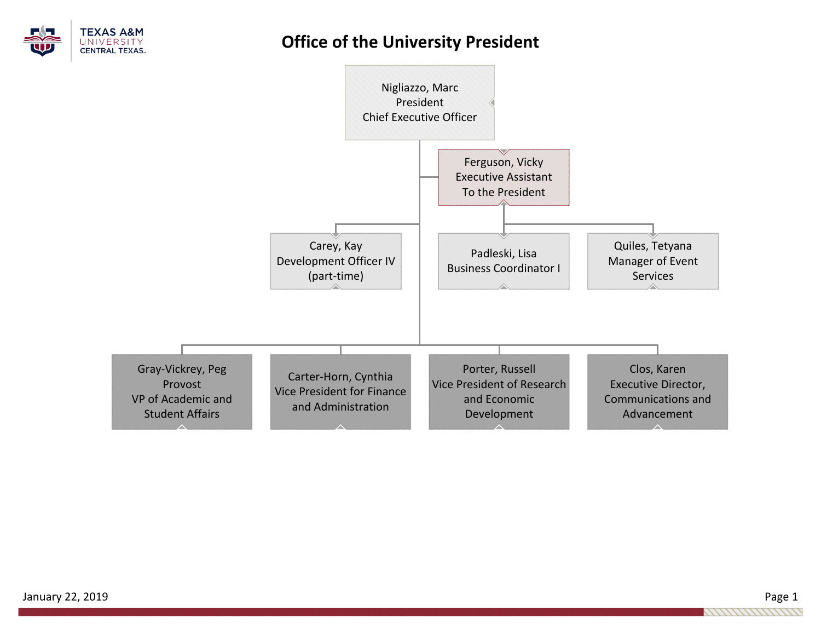

## **Office of the University President**

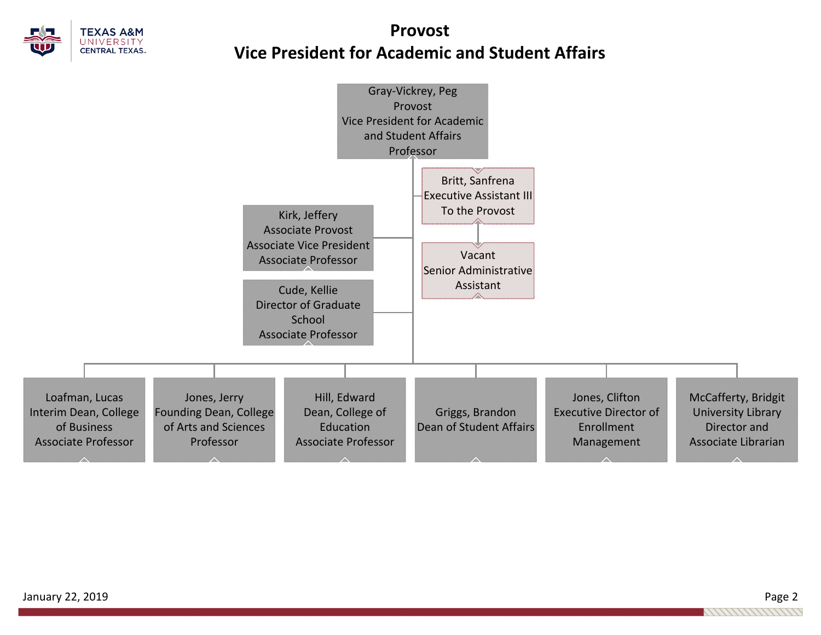

# **ProvostVice President for Academic and Student Affairs**

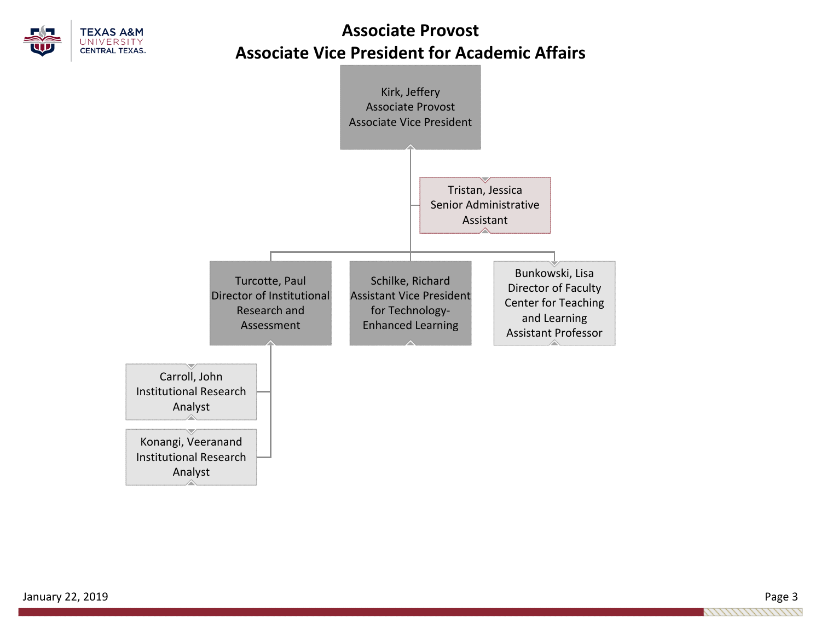

# **Associate Provost Associate Vice President for Academic Affairs**

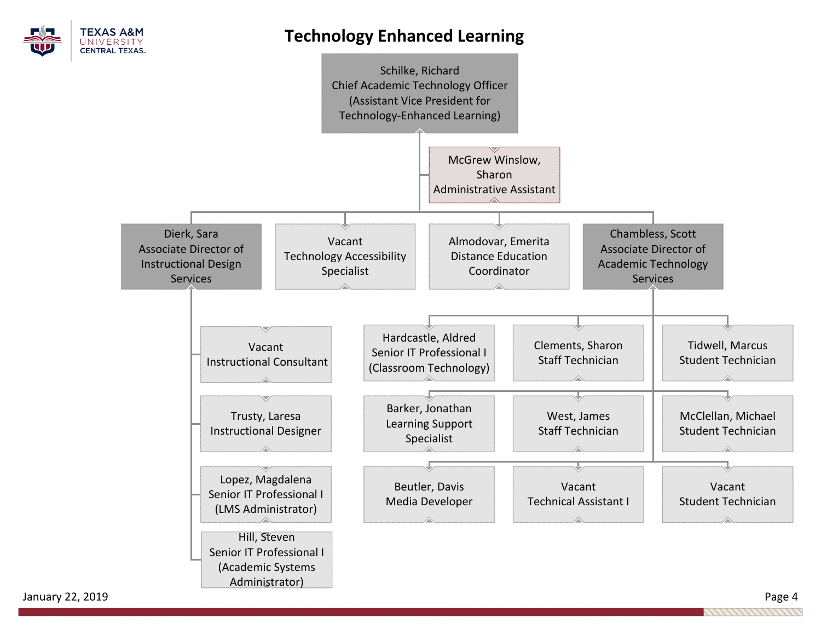

## **Technology Enhanced Learning**



January 22, 2019 Page 4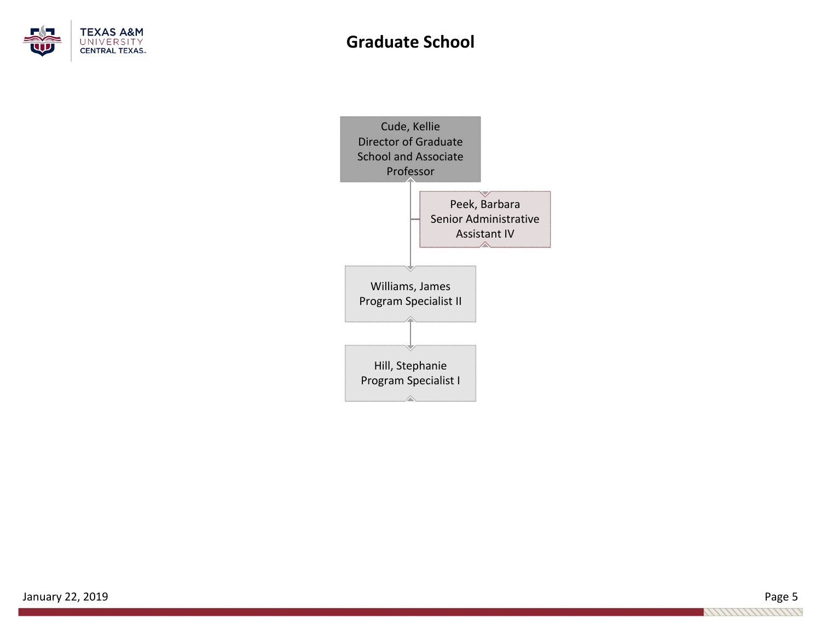

## **Graduate School**

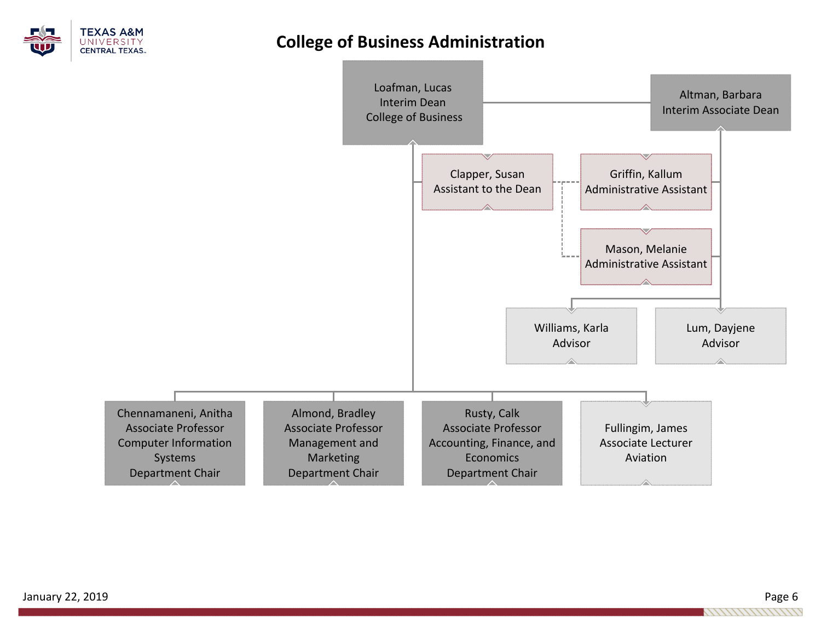

## **College of Business Administration**

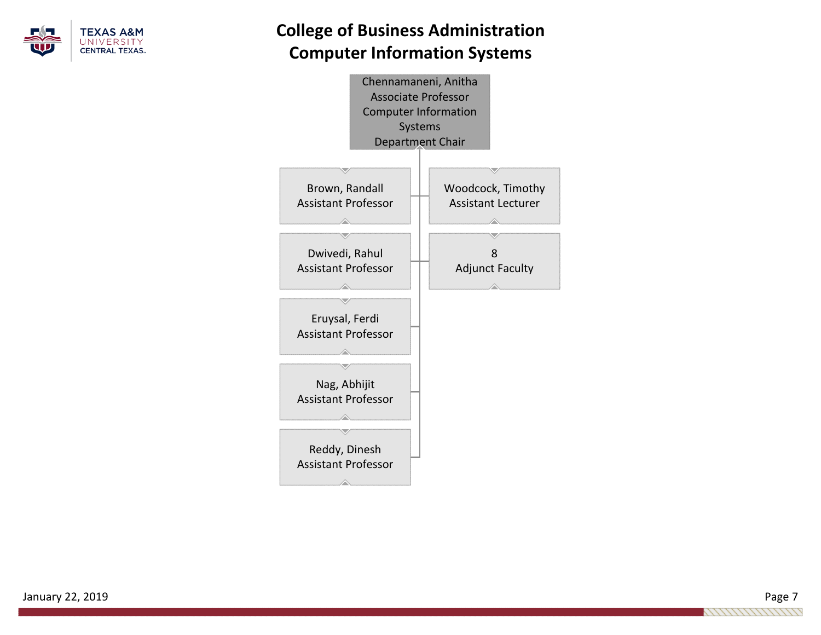

# **College of Business Administration Computer Information Systems**

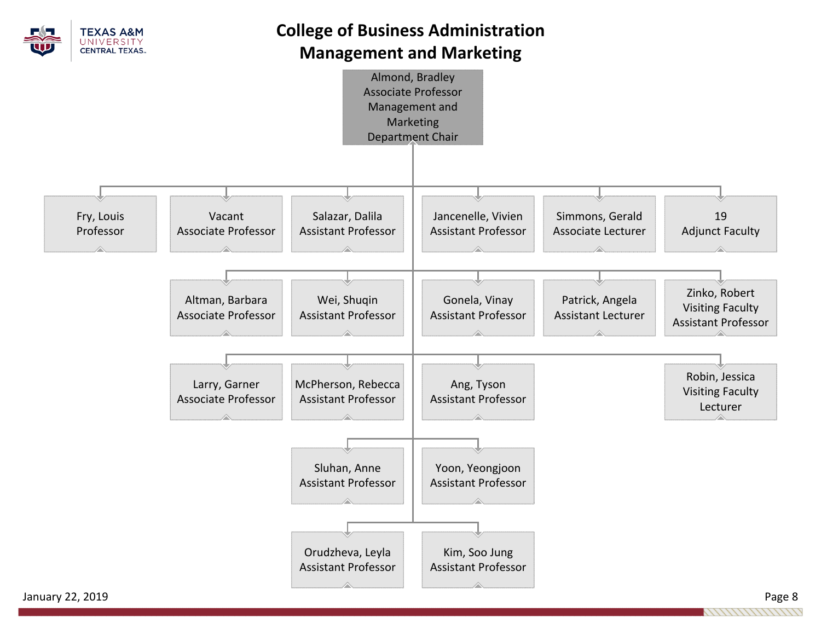

# **College of Business Administration Management and Marketing**

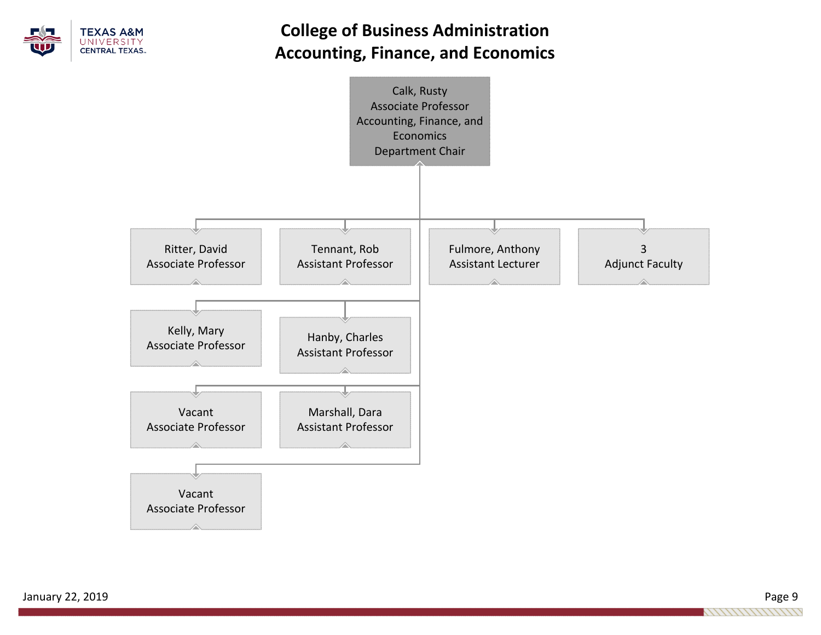

# **College of Business Administration Accounting, Finance, and Economics**

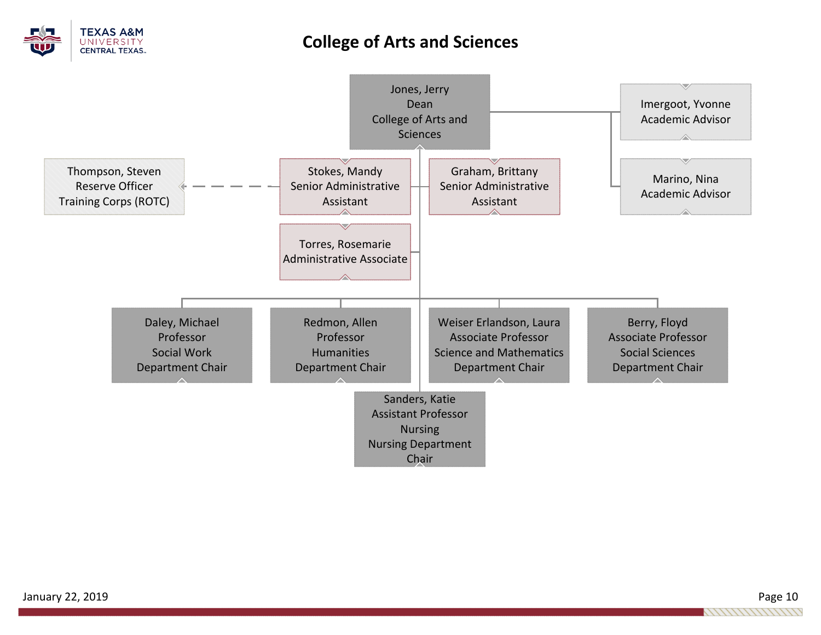

## **College of Arts and Sciences**

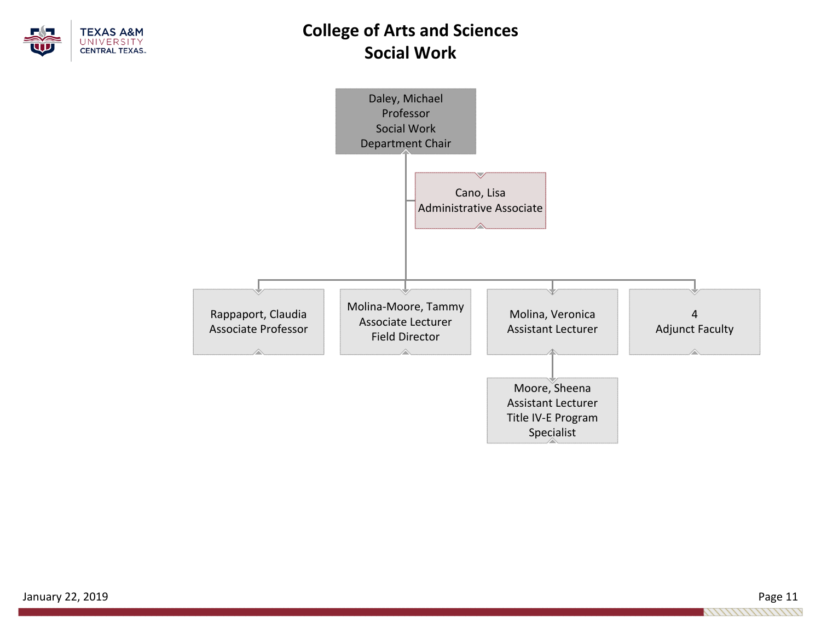

# **College of Arts and Sciences Social Work**



January 22, 2019 Page 11 1111111111111111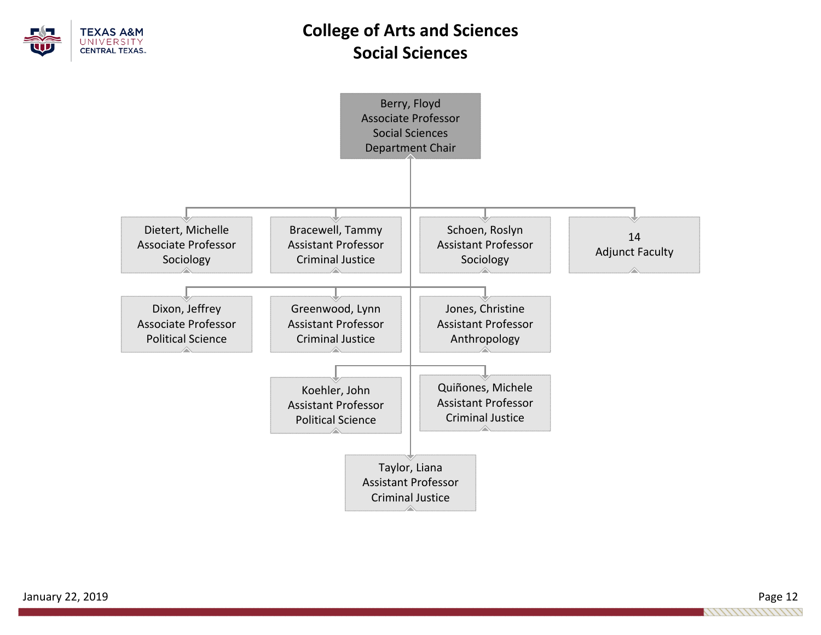

# **College of Arts and Sciences Social Sciences**

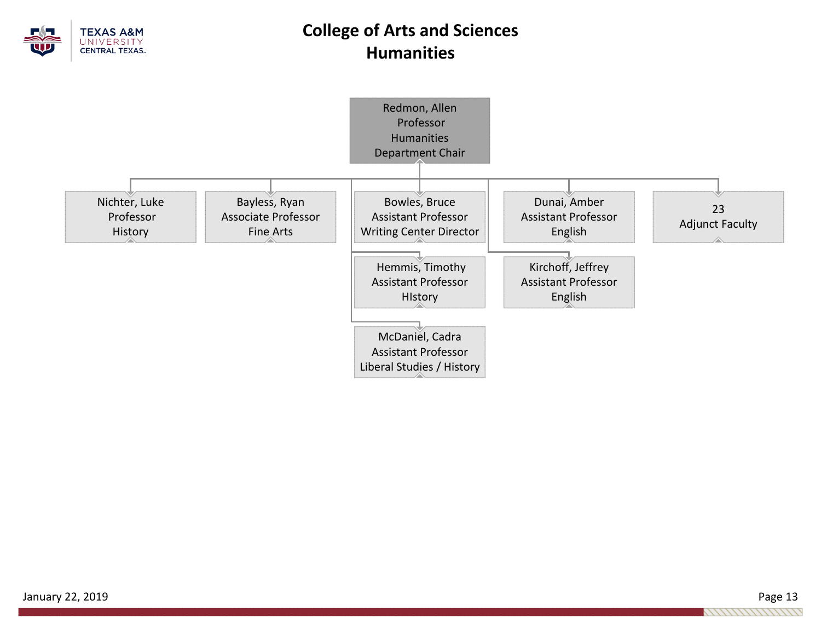

# **College of Arts and Sciences Humanities**

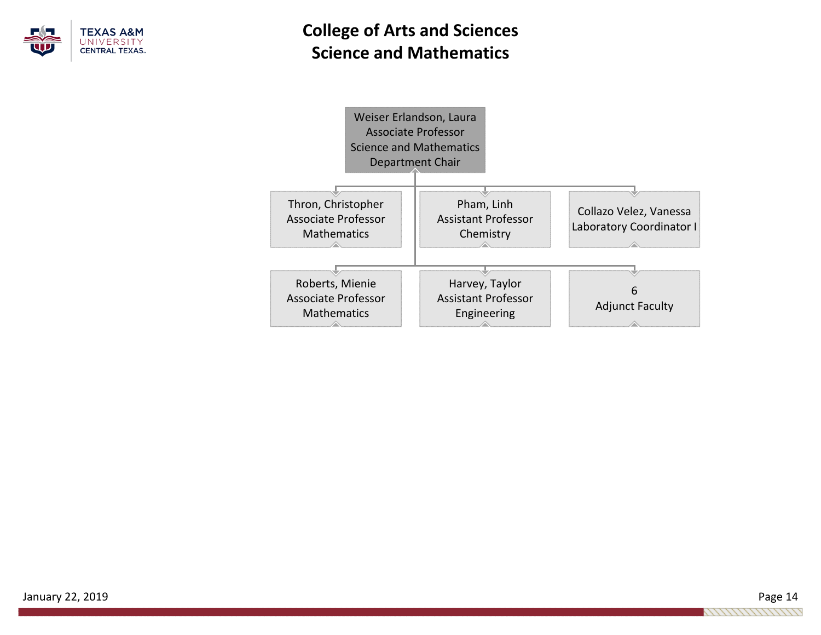

# **College of Arts and Sciences Science and Mathematics**

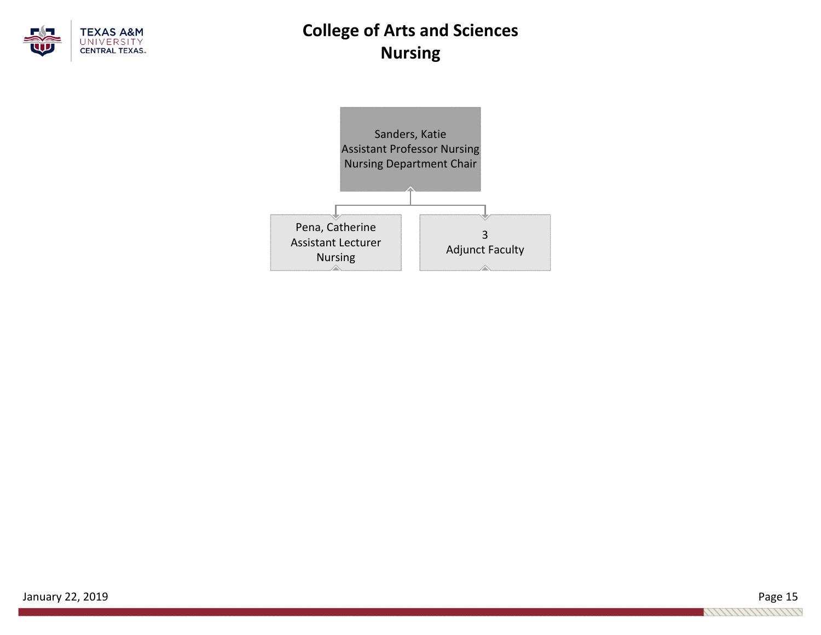

# **College of Arts and Sciences Nursing**

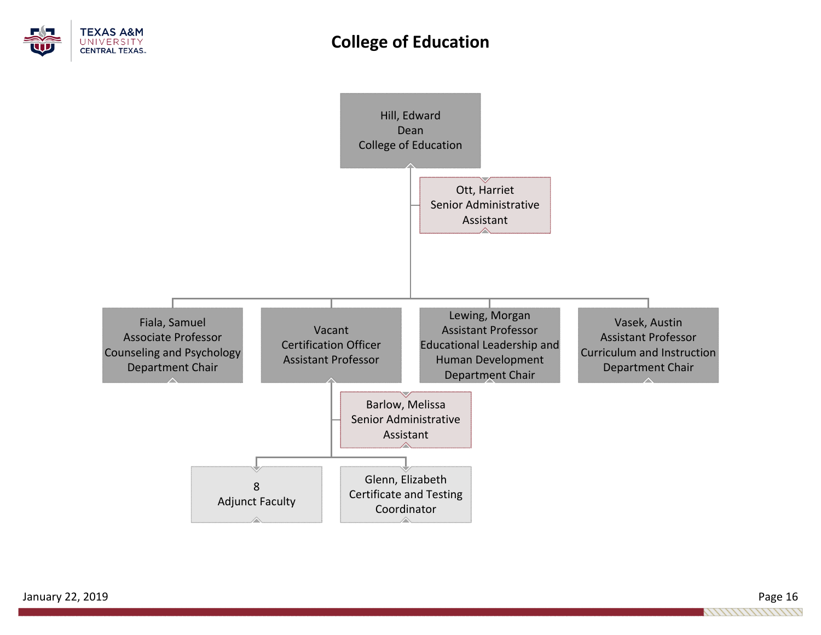

## **College of Education**

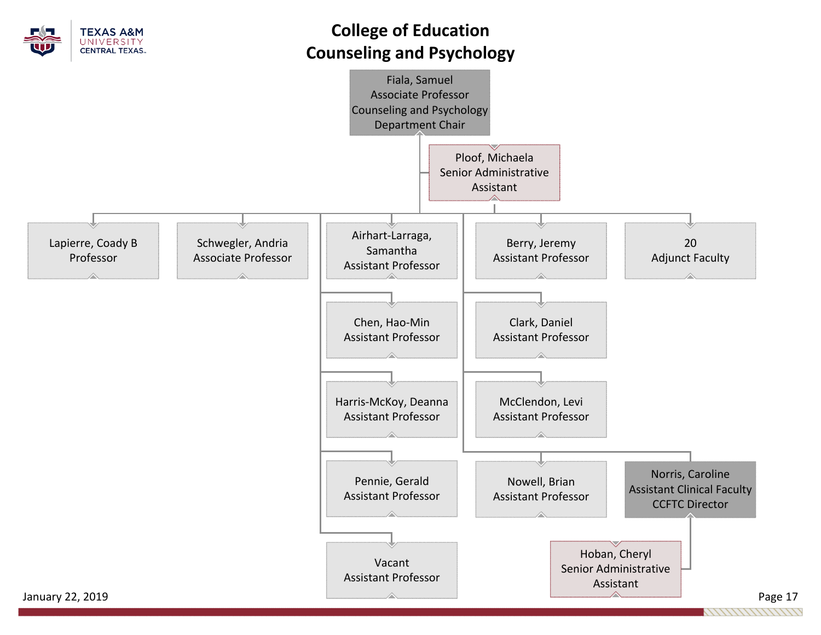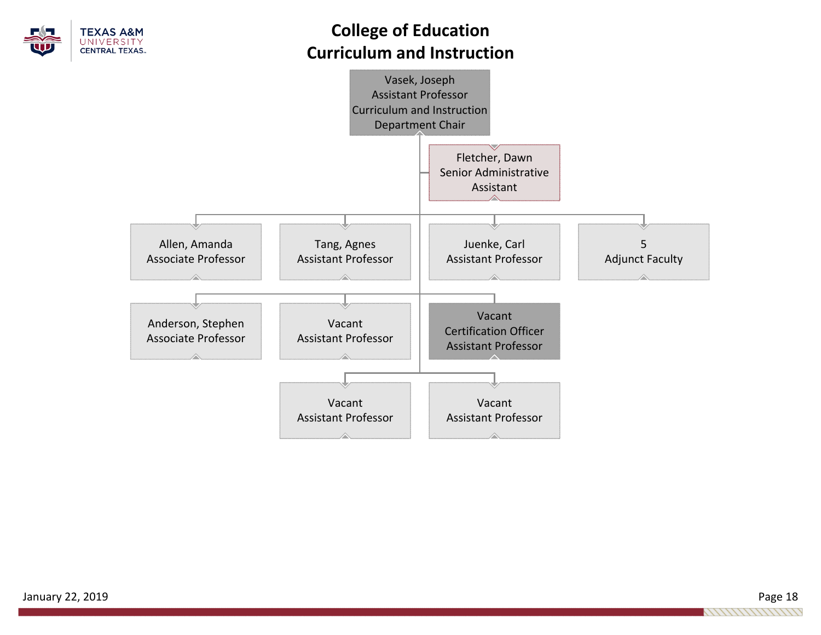

# **College of Education Curriculum and Instruction**

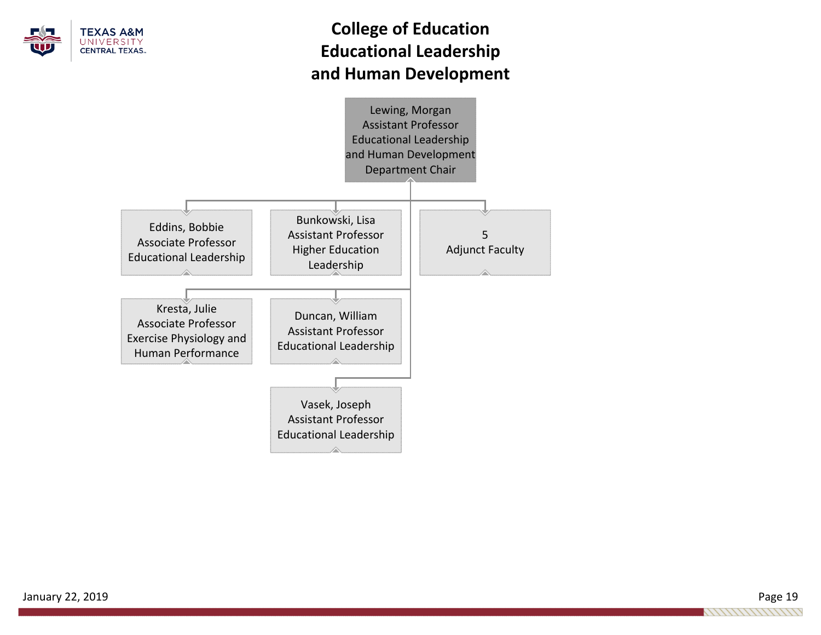

# **College of Education Educational Leadership and Human Development**

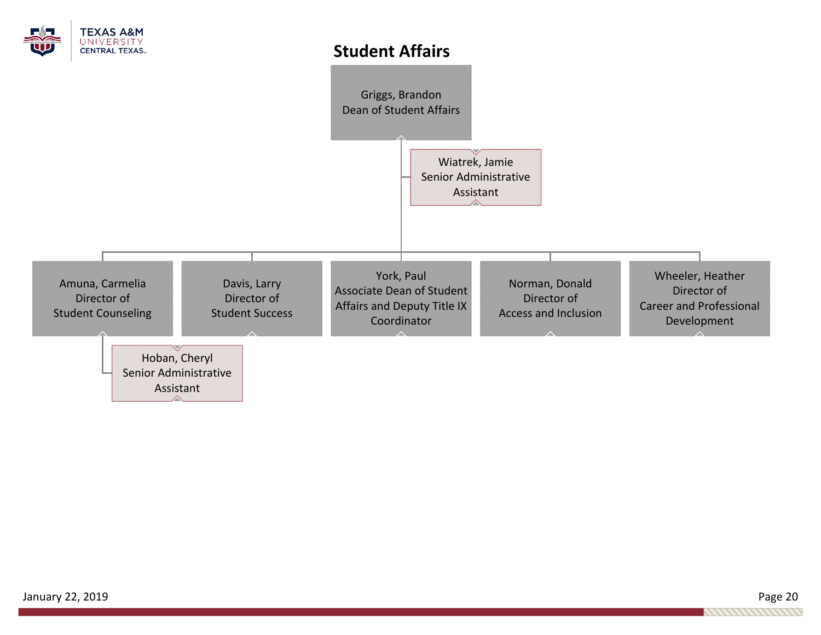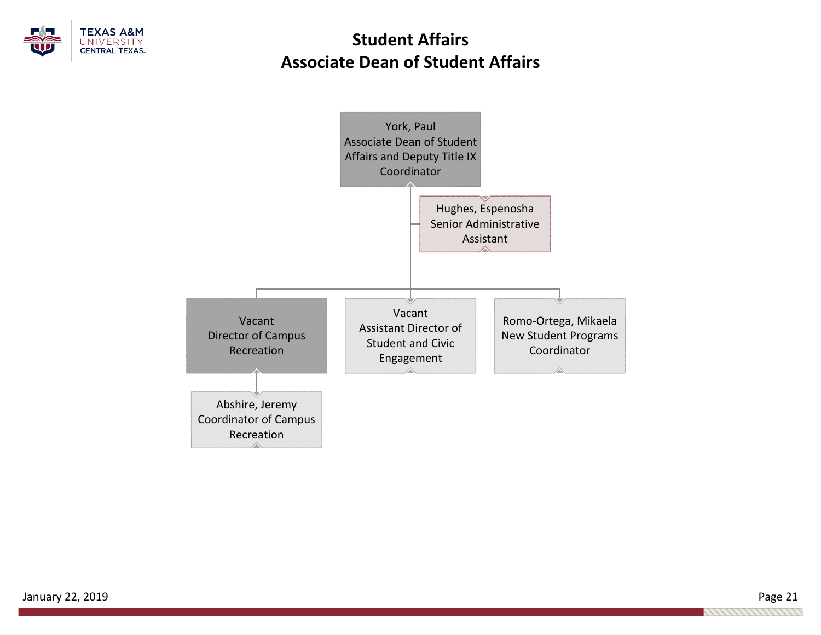

# **Student AffairsAssociate Dean of Student Affairs**

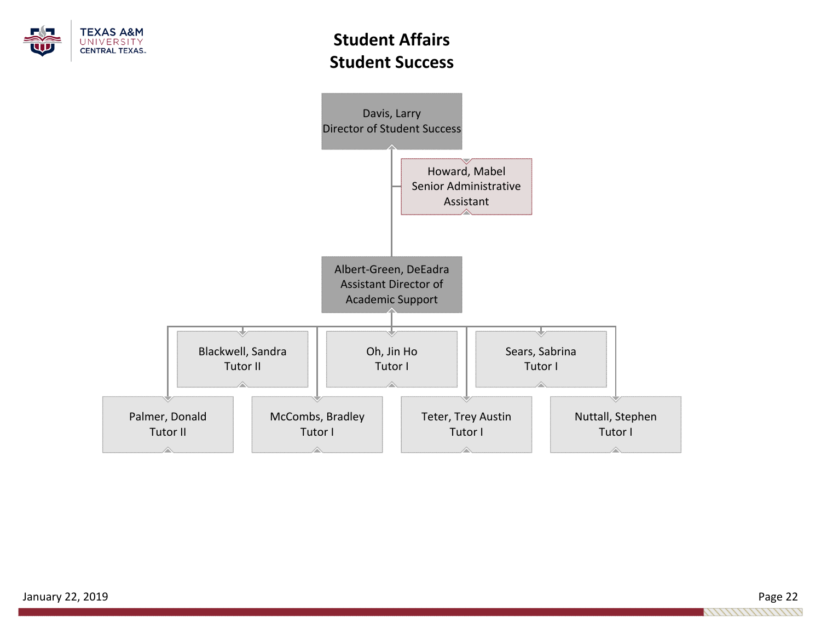

# **Student AffairsStudent Success**

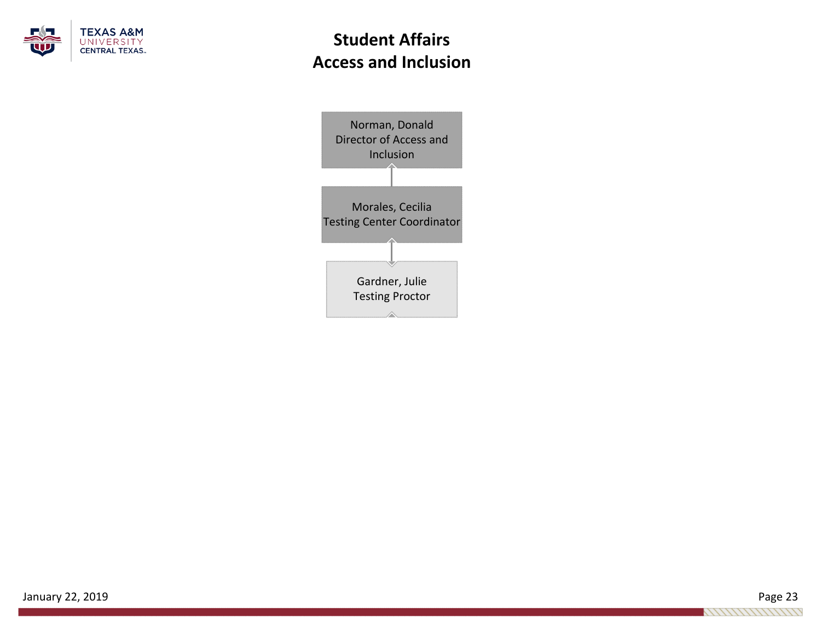

# **Student Affairs Access and Inclusion**

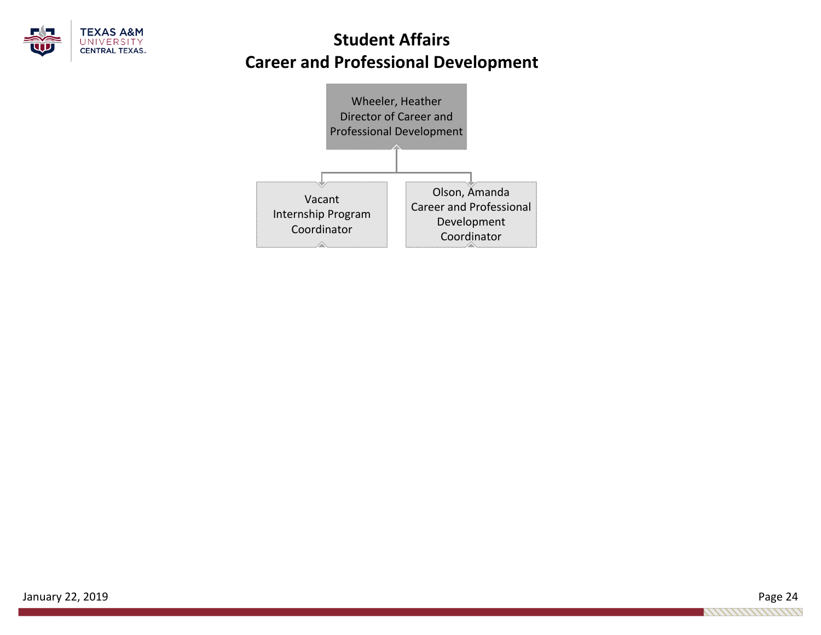

# **Student AffairsCareer and Professional Development**

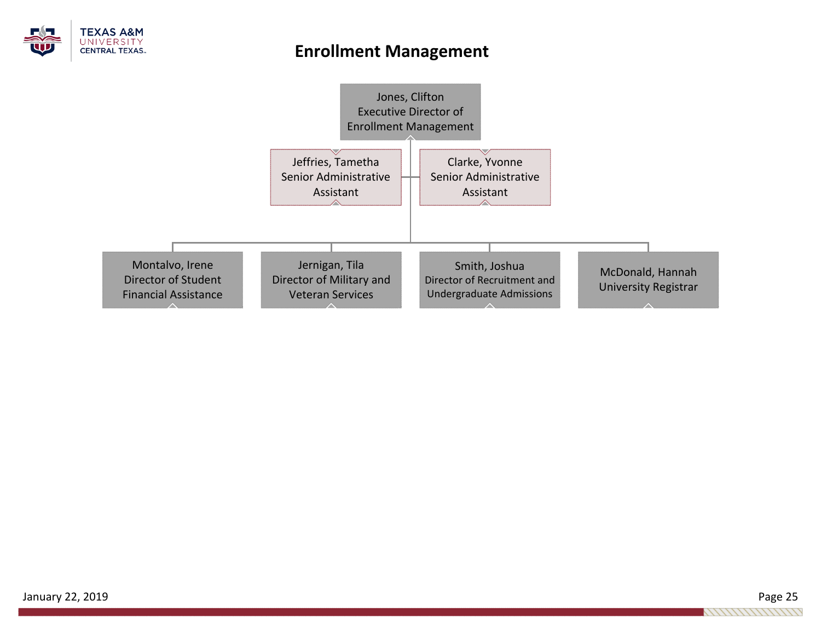

## **Enrollment Management**

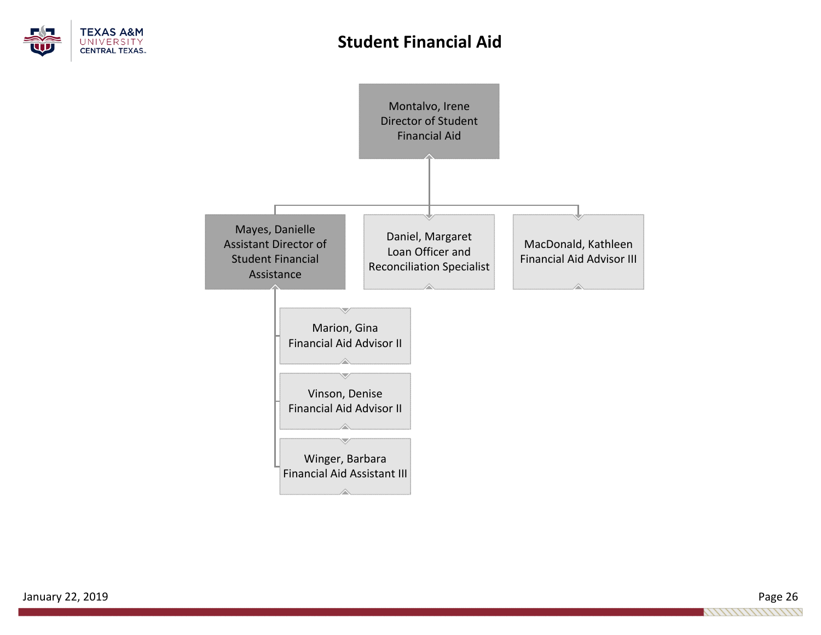

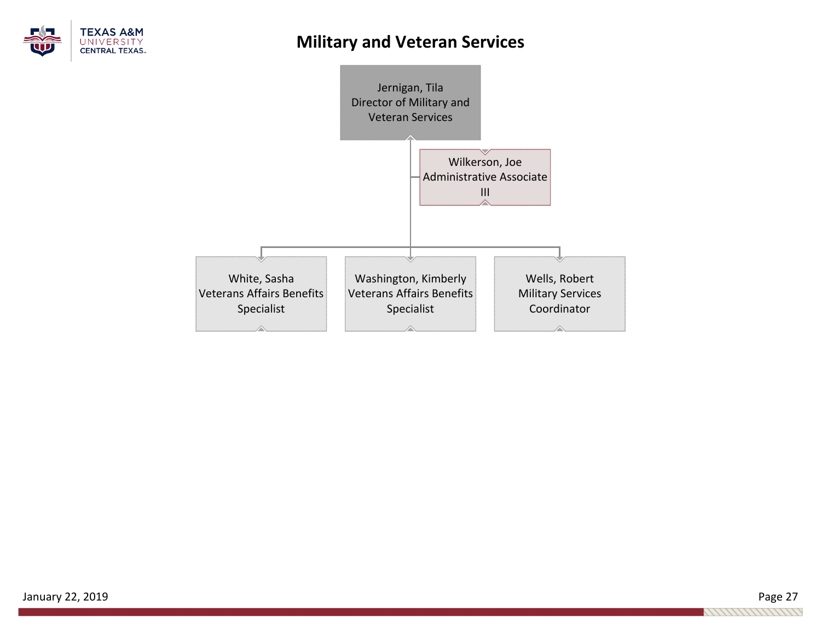

## **Military and Veteran Services**



January 22, 2019 Page 27 1111111111111111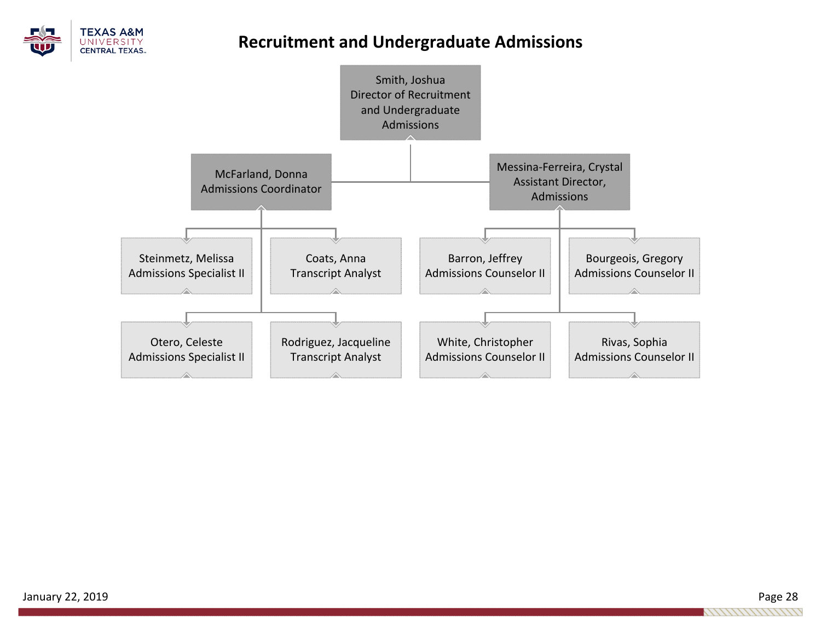

## **Recruitment and Undergraduate Admissions**

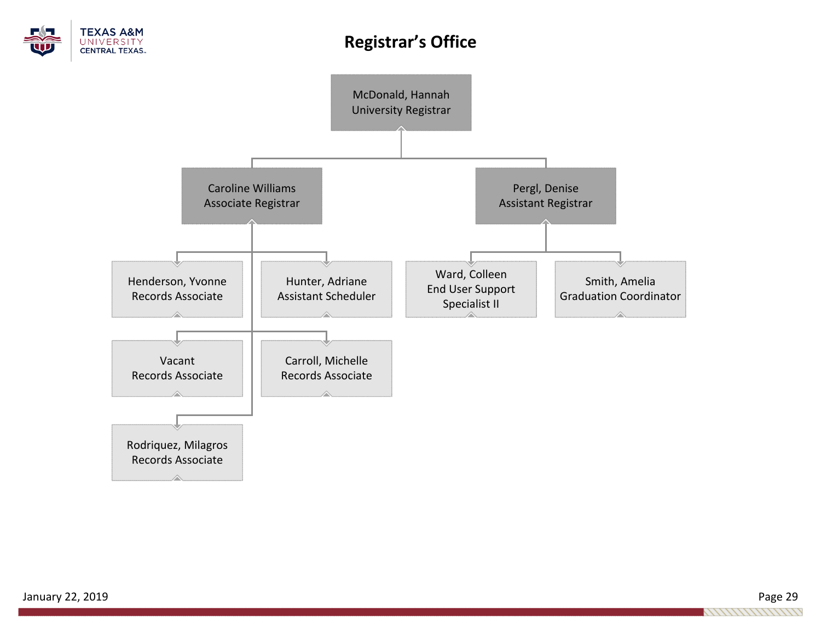

# **Registrar's Office**

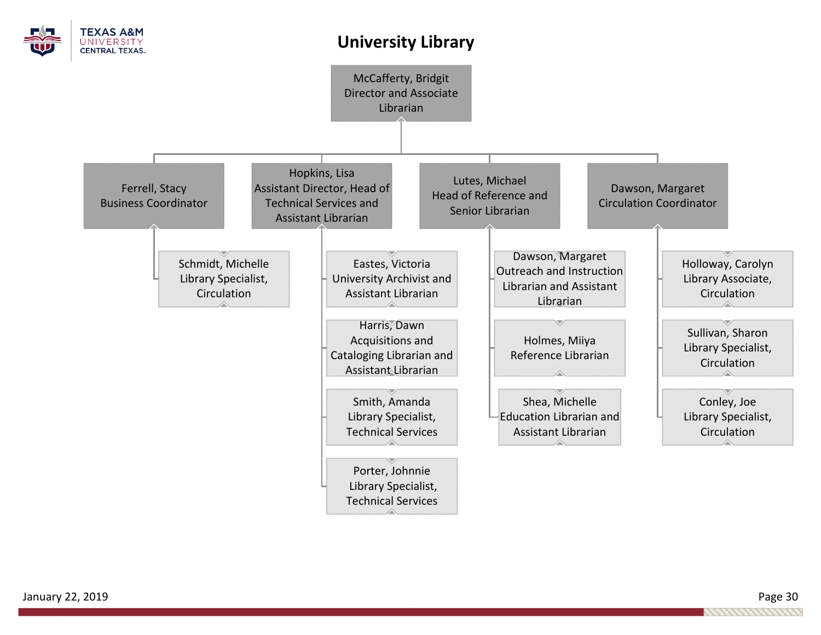

## **University Library**

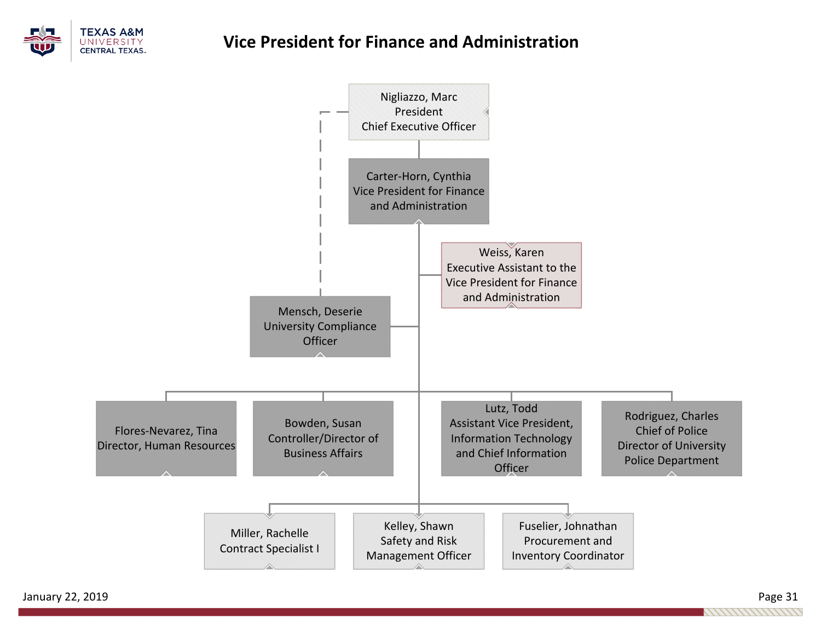

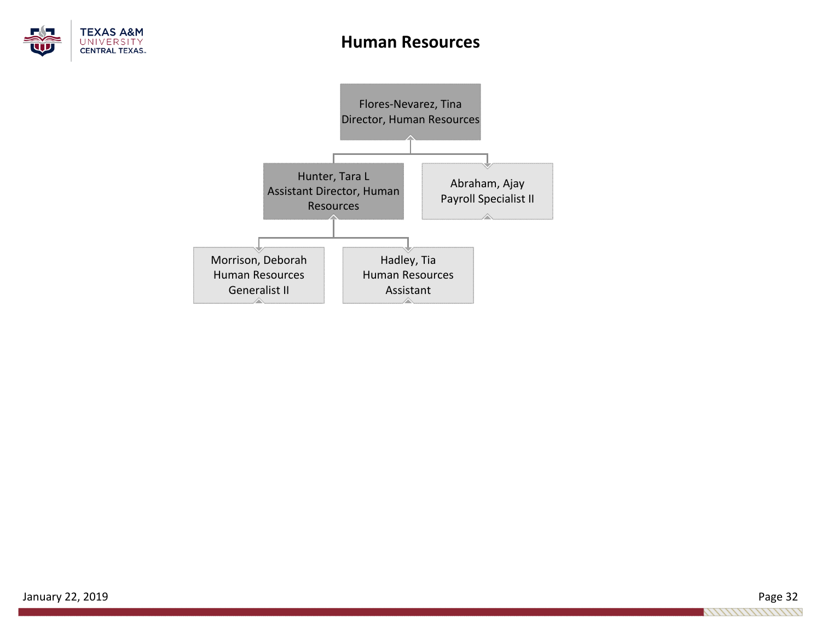

### **Human Resources**

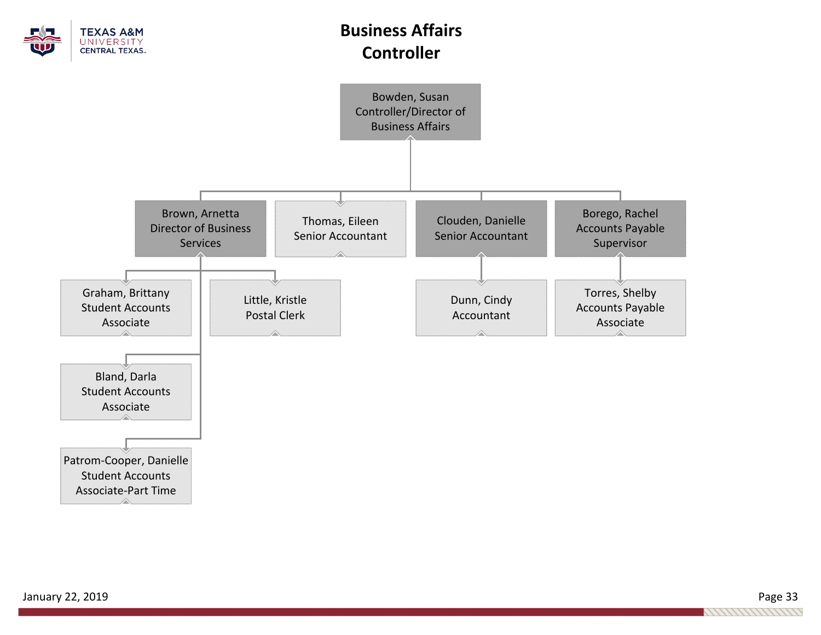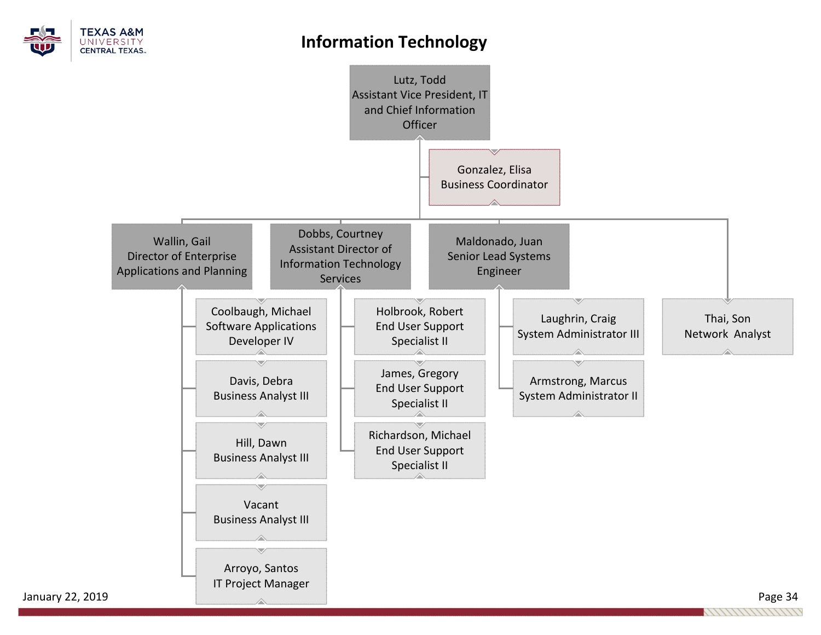

## **Information Technology**

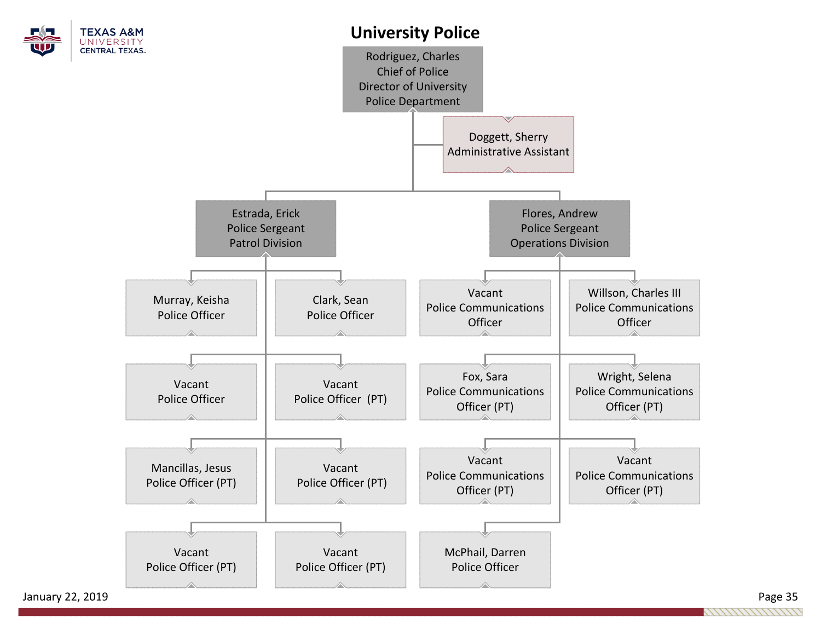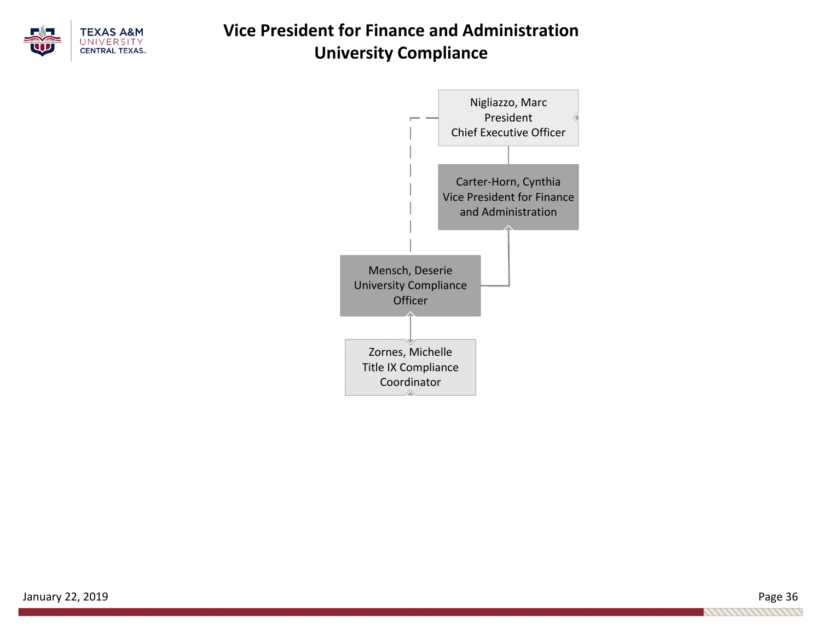

# **Vice President for Finance and Administration University Compliance**



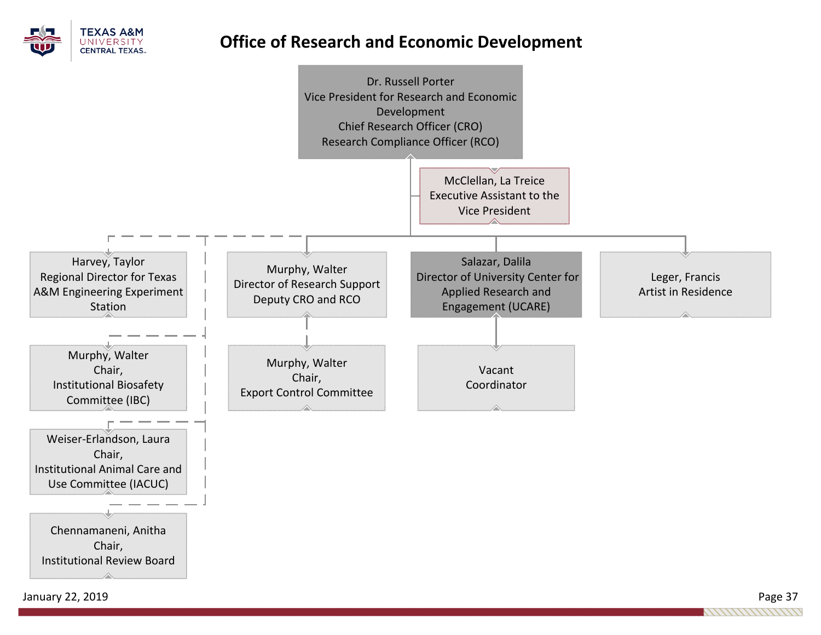

## **Office of Research and Economic Development**



January 22, 2019 Page 37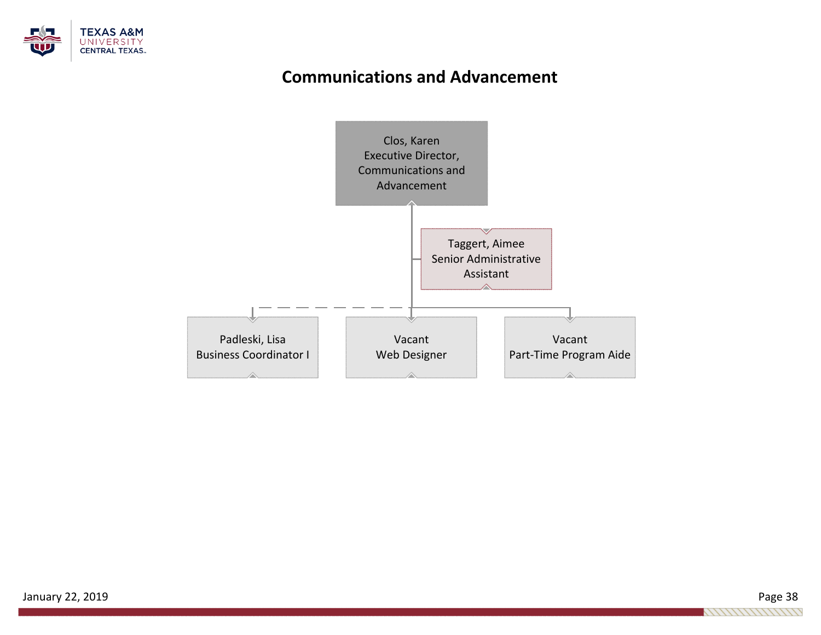

## **Communications and Advancement**



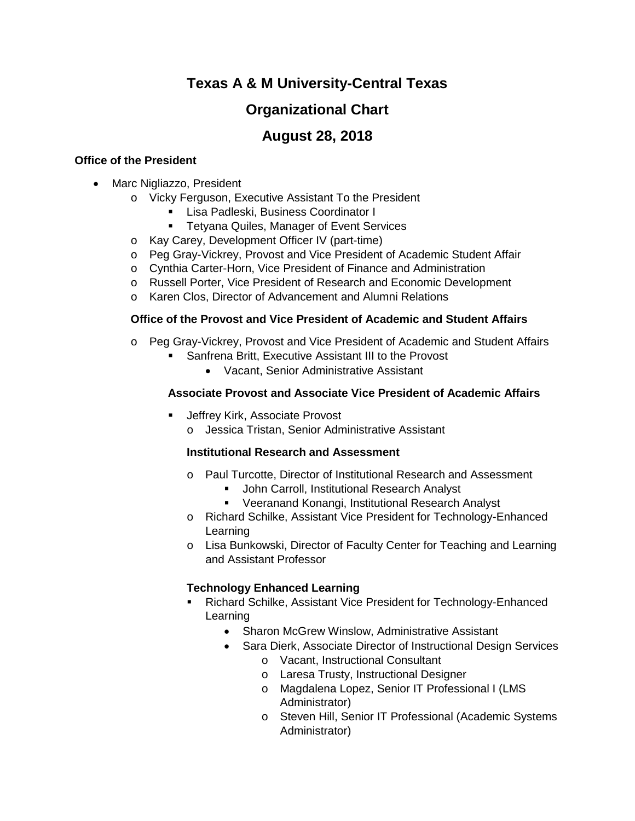### **Texas A & M University-Central Texas**

### **Organizational Chart**

### **August 28, 2018**

### **Office of the President**

- Marc Nigliazzo, President
	- o Vicky Ferguson, Executive Assistant To the President
		- Lisa Padleski, Business Coordinator I
		- **Tetyana Quiles, Manager of Event Services**
	- o Kay Carey, Development Officer IV (part-time)
	- o Peg Gray-Vickrey, Provost and Vice President of Academic Student Affair
	- o Cynthia Carter-Horn, Vice President of Finance and Administration
	- o Russell Porter, Vice President of Research and Economic Development
	- o Karen Clos, Director of Advancement and Alumni Relations

### **Office of the Provost and Vice President of Academic and Student Affairs**

- o Peg Gray-Vickrey, Provost and Vice President of Academic and Student Affairs
	- Sanfrena Britt, Executive Assistant III to the Provost
		- Vacant, Senior Administrative Assistant

### **Associate Provost and Associate Vice President of Academic Affairs**

- Jeffrey Kirk, Associate Provost
	- o Jessica Tristan, Senior Administrative Assistant

#### **Institutional Research and Assessment**

- o Paul Turcotte, Director of Institutional Research and Assessment
	- **John Carroll, Institutional Research Analyst**
	- Veeranand Konangi, Institutional Research Analyst
- o Richard Schilke, Assistant Vice President for Technology-Enhanced Learning
- o Lisa Bunkowski, Director of Faculty Center for Teaching and Learning and Assistant Professor

### **Technology Enhanced Learning**

- Richard Schilke, Assistant Vice President for Technology-Enhanced Learning
	- Sharon McGrew Winslow, Administrative Assistant
	- Sara Dierk, Associate Director of Instructional Design Services
		- o Vacant, Instructional Consultant
			- o Laresa Trusty, Instructional Designer
			- o Magdalena Lopez, Senior IT Professional I (LMS Administrator)
			- o Steven Hill, Senior IT Professional (Academic Systems Administrator)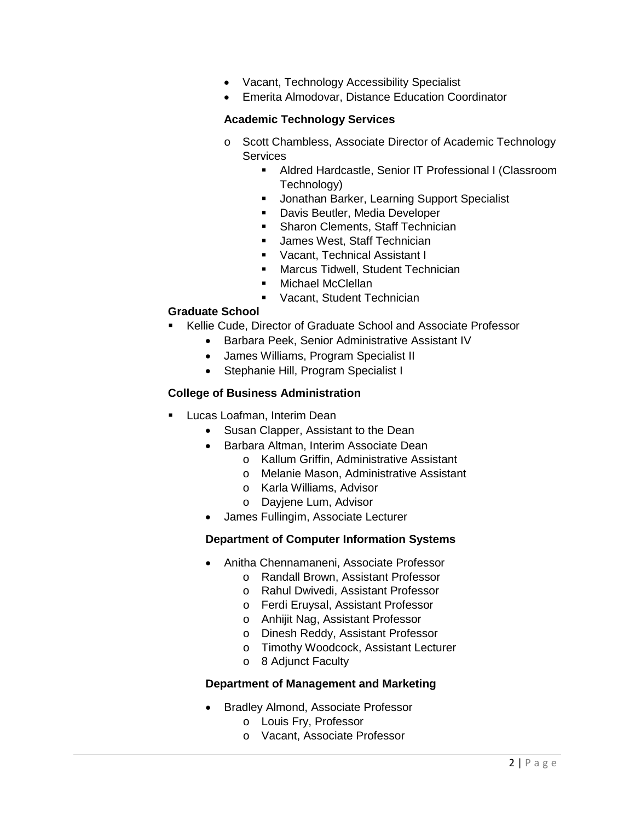- Vacant, Technology Accessibility Specialist
- Emerita Almodovar, Distance Education Coordinator

### **Academic Technology Services**

- o Scott Chambless, Associate Director of Academic Technology **Services** 
	- Aldred Hardcastle, Senior IT Professional I (Classroom Technology)
	- **Jonathan Barker, Learning Support Specialist**
	- **-** Davis Beutler, Media Developer
	- Sharon Clements, Staff Technician
	- **James West, Staff Technician**
	- Vacant, Technical Assistant I
	- **Marcus Tidwell, Student Technician**
	- Michael McClellan
	- **Vacant, Student Technician**

### **Graduate School**

- Kellie Cude, Director of Graduate School and Associate Professor
	- Barbara Peek, Senior Administrative Assistant IV
	- James Williams, Program Specialist II
	- Stephanie Hill, Program Specialist I

#### **College of Business Administration**

- Lucas Loafman, Interim Dean
	- Susan Clapper, Assistant to the Dean
	- Barbara Altman, Interim Associate Dean
		- o Kallum Griffin, Administrative Assistant
		- o Melanie Mason, Administrative Assistant
		- o Karla Williams, Advisor
		- o Dayjene Lum, Advisor
	- James Fullingim, Associate Lecturer

#### **Department of Computer Information Systems**

- Anitha Chennamaneni, Associate Professor
	- o Randall Brown, Assistant Professor
	- o Rahul Dwivedi, Assistant Professor
	- o Ferdi Eruysal, Assistant Professor
	- o Anhijit Nag, Assistant Professor
	- o Dinesh Reddy, Assistant Professor
	- o Timothy Woodcock, Assistant Lecturer
	- o 8 Adjunct Faculty

#### **Department of Management and Marketing**

- Bradley Almond, Associate Professor
	- o Louis Fry, Professor
	- o Vacant, Associate Professor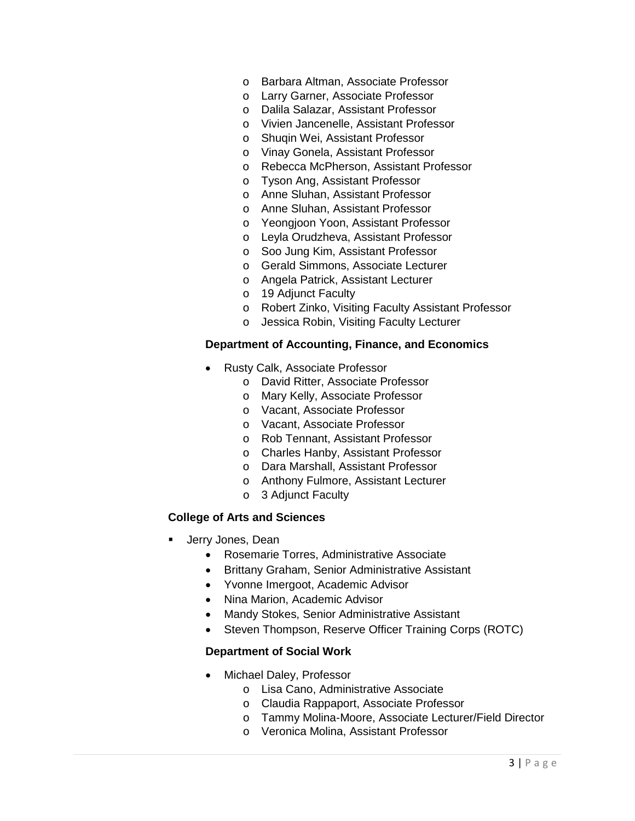- o Barbara Altman, Associate Professor
- o Larry Garner, Associate Professor
- o Dalila Salazar, Assistant Professor
- o Vivien Jancenelle, Assistant Professor
- o Shuqin Wei, Assistant Professor
- o Vinay Gonela, Assistant Professor
- o Rebecca McPherson, Assistant Professor
- o Tyson Ang, Assistant Professor
- o Anne Sluhan, Assistant Professor
- o Anne Sluhan, Assistant Professor
- o Yeongjoon Yoon, Assistant Professor
- o Leyla Orudzheva, Assistant Professor
- o Soo Jung Kim, Assistant Professor
- o Gerald Simmons, Associate Lecturer
- o Angela Patrick, Assistant Lecturer
- o 19 Adjunct Faculty
- o Robert Zinko, Visiting Faculty Assistant Professor
- o Jessica Robin, Visiting Faculty Lecturer

#### **Department of Accounting, Finance, and Economics**

- Rusty Calk, Associate Professor
	- o David Ritter, Associate Professor
	- o Mary Kelly, Associate Professor
	- o Vacant, Associate Professor
	- o Vacant, Associate Professor
	- o Rob Tennant, Assistant Professor
	- o Charles Hanby, Assistant Professor
	- o Dara Marshall, Assistant Professor
	- o Anthony Fulmore, Assistant Lecturer
	- o 3 Adjunct Faculty

#### **College of Arts and Sciences**

- Jerry Jones, Dean
	- Rosemarie Torres, Administrative Associate
	- Brittany Graham, Senior Administrative Assistant
	- Yvonne Imergoot, Academic Advisor
	- Nina Marion, Academic Advisor
	- Mandy Stokes, Senior Administrative Assistant
	- Steven Thompson, Reserve Officer Training Corps (ROTC)

#### **Department of Social Work**

- Michael Daley, Professor
	- o Lisa Cano, Administrative Associate
	- o Claudia Rappaport, Associate Professor
	- o Tammy Molina-Moore, Associate Lecturer/Field Director
	- o Veronica Molina, Assistant Professor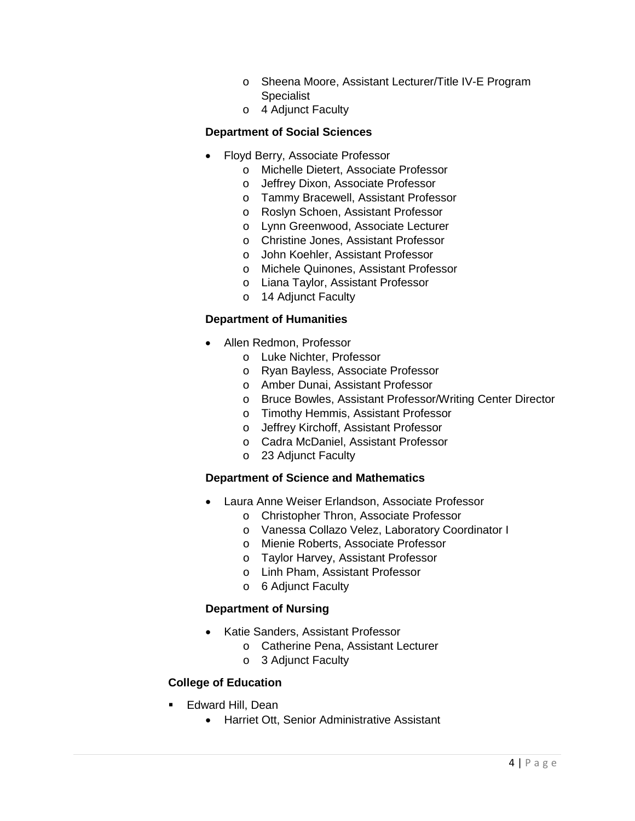- o Sheena Moore, Assistant Lecturer/Title IV-E Program Specialist
- o 4 Adjunct Faculty

### **Department of Social Sciences**

- Floyd Berry, Associate Professor
	- o Michelle Dietert, Associate Professor
	- o Jeffrey Dixon, Associate Professor
	- o Tammy Bracewell, Assistant Professor
	- o Roslyn Schoen, Assistant Professor
	- o Lynn Greenwood, Associate Lecturer
	- o Christine Jones, Assistant Professor
	- o John Koehler, Assistant Professor
	- o Michele Quinones, Assistant Professor
	- o Liana Taylor, Assistant Professor
	- o 14 Adjunct Faculty

### **Department of Humanities**

- Allen Redmon, Professor
	- o Luke Nichter, Professor
	- o Ryan Bayless, Associate Professor
	- o Amber Dunai, Assistant Professor
	- o Bruce Bowles, Assistant Professor/Writing Center Director
	- o Timothy Hemmis, Assistant Professor
	- o Jeffrey Kirchoff, Assistant Professor
	- o Cadra McDaniel, Assistant Professor
	- o 23 Adjunct Faculty

#### **Department of Science and Mathematics**

- Laura Anne Weiser Erlandson, Associate Professor
	- o Christopher Thron, Associate Professor
	- o Vanessa Collazo Velez, Laboratory Coordinator I
	- o Mienie Roberts, Associate Professor
	- o Taylor Harvey, Assistant Professor
	- o Linh Pham, Assistant Professor
	- o 6 Adjunct Faculty

### **Department of Nursing**

- Katie Sanders, Assistant Professor
	- o Catherine Pena, Assistant Lecturer
		- o 3 Adjunct Faculty

### **College of Education**

- Edward Hill, Dean
	- Harriet Ott, Senior Administrative Assistant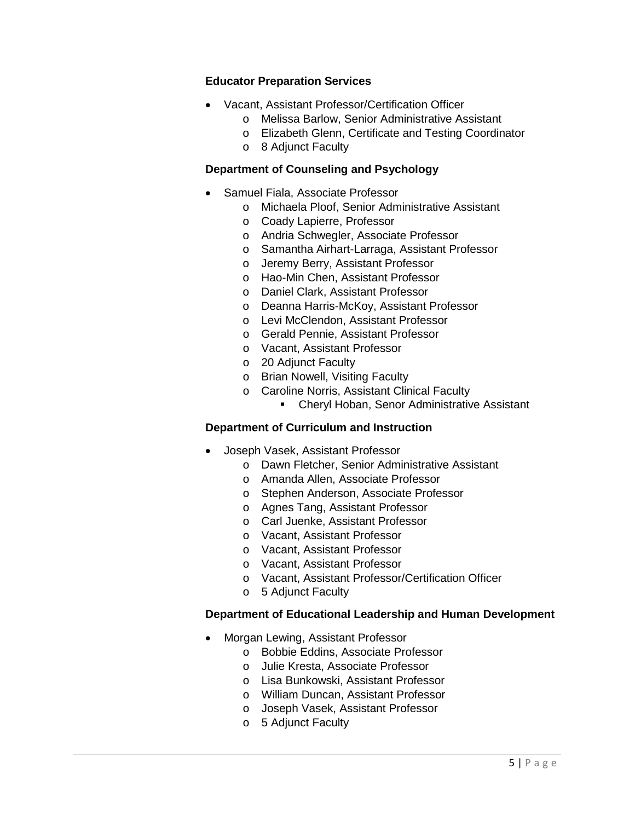#### **Educator Preparation Services**

- Vacant, Assistant Professor/Certification Officer
	- o Melissa Barlow, Senior Administrative Assistant
	- o Elizabeth Glenn, Certificate and Testing Coordinator
	- o 8 Adjunct Faculty

#### **Department of Counseling and Psychology**

- Samuel Fiala, Associate Professor
	- o Michaela Ploof, Senior Administrative Assistant
	- o Coady Lapierre, Professor
	- o Andria Schwegler, Associate Professor
	- o Samantha Airhart-Larraga, Assistant Professor
	- o Jeremy Berry, Assistant Professor
	- o Hao-Min Chen, Assistant Professor
	- o Daniel Clark, Assistant Professor
	- o Deanna Harris-McKoy, Assistant Professor
	- o Levi McClendon, Assistant Professor
	- o Gerald Pennie, Assistant Professor
	- o Vacant, Assistant Professor
	- o 20 Adjunct Faculty
	- o Brian Nowell, Visiting Faculty
	- o Caroline Norris, Assistant Clinical Faculty
		- **Cheryl Hoban, Senor Administrative Assistant**

#### **Department of Curriculum and Instruction**

- Joseph Vasek, Assistant Professor
	- o Dawn Fletcher, Senior Administrative Assistant
	- o Amanda Allen, Associate Professor
	- o Stephen Anderson, Associate Professor
	- o Agnes Tang, Assistant Professor
	- o Carl Juenke, Assistant Professor
	- o Vacant, Assistant Professor
	- o Vacant, Assistant Professor
	- o Vacant, Assistant Professor
	- o Vacant, Assistant Professor/Certification Officer
	- o 5 Adjunct Faculty

#### **Department of Educational Leadership and Human Development**

- Morgan Lewing, Assistant Professor
	- o Bobbie Eddins, Associate Professor
	- o Julie Kresta, Associate Professor
	- o Lisa Bunkowski, Assistant Professor
	- o William Duncan, Assistant Professor
	- o Joseph Vasek, Assistant Professor
	- o 5 Adjunct Faculty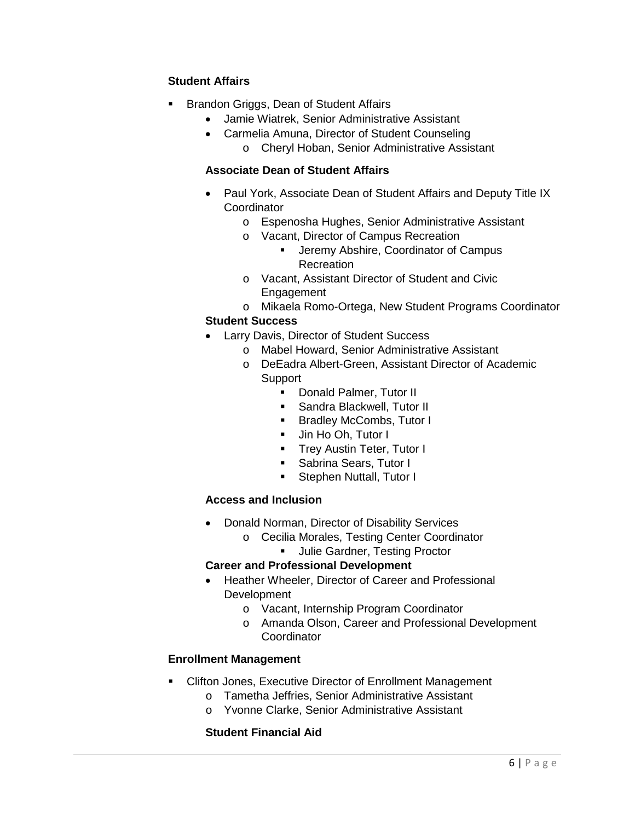### **Student Affairs**

- Brandon Griggs, Dean of Student Affairs
	- Jamie Wiatrek, Senior Administrative Assistant
	- Carmelia Amuna, Director of Student Counseling o Cheryl Hoban, Senior Administrative Assistant

### **Associate Dean of Student Affairs**

- Paul York, Associate Dean of Student Affairs and Deputy Title IX **Coordinator** 
	- o Espenosha Hughes, Senior Administrative Assistant
	- o Vacant, Director of Campus Recreation<br>Jeremy Abshire Coordinator of 0.
		- Jeremy Abshire, Coordinator of Campus Recreation
	- o Vacant, Assistant Director of Student and Civic **Engagement**
	- o Mikaela Romo-Ortega, New Student Programs Coordinator

### **Student Success**

- Larry Davis, Director of Student Success
	- o Mabel Howard, Senior Administrative Assistant
	- o DeEadra Albert-Green, Assistant Director of Academic **Support** 
		- **-** Donald Palmer, Tutor II
		- **Sandra Blackwell, Tutor II**
		- **Bradley McCombs, Tutor I**
		- **Jin Ho Oh, Tutor I**
		- **Trey Austin Teter, Tutor I**
		- **Sabrina Sears, Tutor I**
		- **Stephen Nuttall, Tutor I**

### **Access and Inclusion**

- Donald Norman, Director of Disability Services
	- o Cecilia Morales, Testing Center Coordinator
		- **Julie Gardner, Testing Proctor**

#### **Career and Professional Development**

- Heather Wheeler, Director of Career and Professional **Development** 
	- o Vacant, Internship Program Coordinator
	- o Amanda Olson, Career and Professional Development **Coordinator**

### **Enrollment Management**

- Clifton Jones, Executive Director of Enrollment Management
	- o Tametha Jeffries, Senior Administrative Assistant
	- o Yvonne Clarke, Senior Administrative Assistant

### **Student Financial Aid**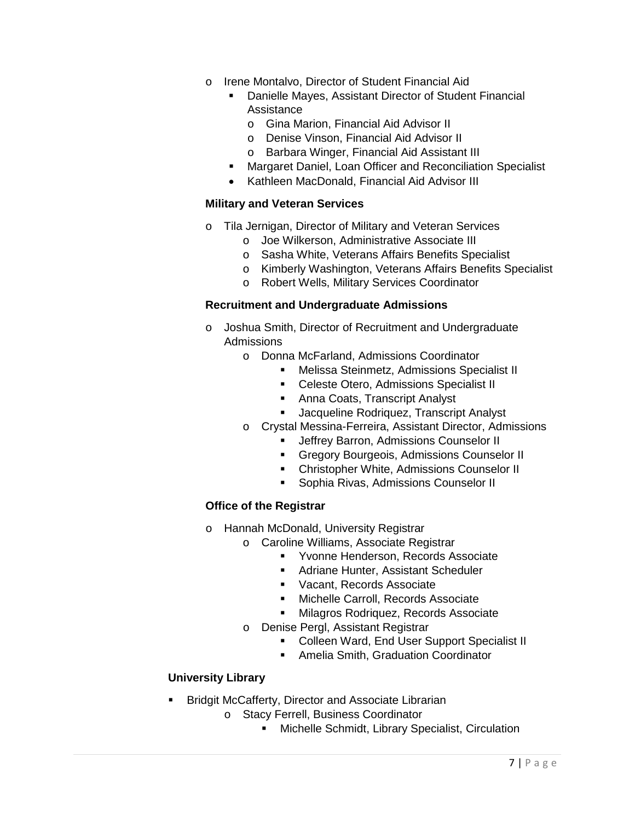- o Irene Montalvo, Director of Student Financial Aid
	- Danielle Mayes, Assistant Director of Student Financial Assistance
		- o Gina Marion, Financial Aid Advisor II
		- o Denise Vinson, Financial Aid Advisor II
		- o Barbara Winger, Financial Aid Assistant III
	- **Margaret Daniel, Loan Officer and Reconciliation Specialist**
	- Kathleen MacDonald, Financial Aid Advisor III

#### **Military and Veteran Services**

- o Tila Jernigan, Director of Military and Veteran Services
	- o Joe Wilkerson, Administrative Associate III
	- o Sasha White, Veterans Affairs Benefits Specialist
	- o Kimberly Washington, Veterans Affairs Benefits Specialist
	- o Robert Wells, Military Services Coordinator

#### **Recruitment and Undergraduate Admissions**

- o Joshua Smith, Director of Recruitment and Undergraduate Admissions
	- o Donna McFarland, Admissions Coordinator
		- **Melissa Steinmetz, Admissions Specialist II**
		- **Celeste Otero, Admissions Specialist II**
		- **Anna Coats, Transcript Analyst**
		- **Jacqueline Rodriquez, Transcript Analyst**
	- o Crystal Messina-Ferreira, Assistant Director, Admissions
		- **Jeffrey Barron, Admissions Counselor II**
		- **Gregory Bourgeois, Admissions Counselor II**
		- **EXECUTE: Christopher White, Admissions Counselor II**
		- **Sophia Rivas, Admissions Counselor II**

### **Office of the Registrar**

- o Hannah McDonald, University Registrar
	- o Caroline Williams, Associate Registrar
		- **Yvonne Henderson, Records Associate**
		- **Adriane Hunter, Assistant Scheduler**
		- **Vacant, Records Associate**
		- **Michelle Carroll, Records Associate**
		- **Milagros Rodriquez, Records Associate**
	- o Denise Pergl, Assistant Registrar
		- **Colleen Ward, End User Support Specialist II**
		- **Amelia Smith, Graduation Coordinator**

### **University Library**

- **Bridgit McCafferty, Director and Associate Librarian** 
	- o Stacy Ferrell, Business Coordinator
		- **EXECT:** Michelle Schmidt, Library Specialist, Circulation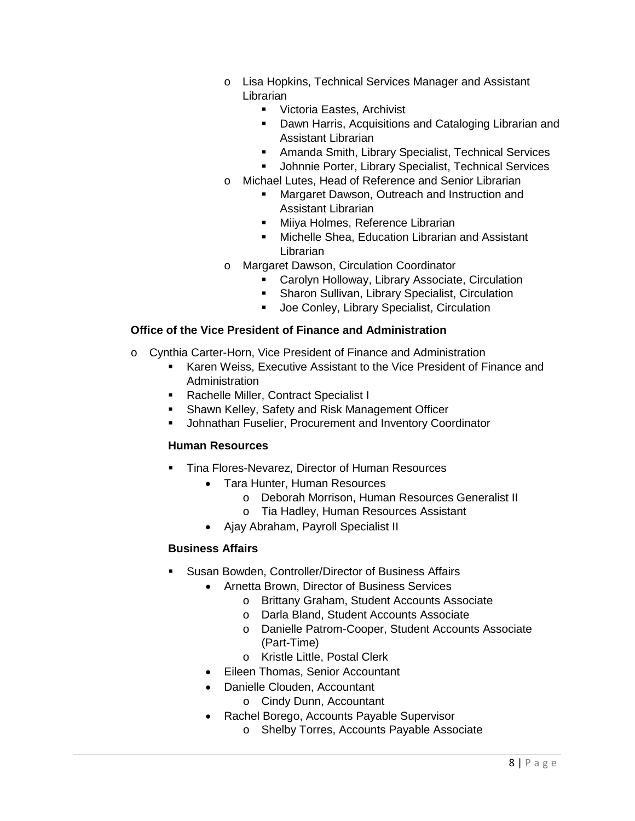- o Lisa Hopkins, Technical Services Manager and Assistant Librarian
	- **Victoria Eastes, Archivist**
	- **Dawn Harris, Acquisitions and Cataloging Librarian and** Assistant Librarian
	- Amanda Smith, Library Specialist, Technical Services
	- **Johnnie Porter, Library Specialist, Technical Services**
- o Michael Lutes, Head of Reference and Senior Librarian
	- **Margaret Dawson, Outreach and Instruction and I** Assistant Librarian
	- **Miiya Holmes, Reference Librarian**
	- **Michelle Shea, Education Librarian and Assistant** Librarian
- o Margaret Dawson, Circulation Coordinator
	- **EXEC** Carolyn Holloway, Library Associate, Circulation
	- **Sharon Sullivan, Library Specialist, Circulation**
	- **Joe Conley, Library Specialist, Circulation**

#### **Office of the Vice President of Finance and Administration**

- o Cynthia Carter-Horn, Vice President of Finance and Administration
	- Karen Weiss, Executive Assistant to the Vice President of Finance and Administration
	- **Rachelle Miller, Contract Specialist I**
	- Shawn Kelley, Safety and Risk Management Officer
	- Johnathan Fuselier, Procurement and Inventory Coordinator

#### **Human Resources**

- Tina Flores-Nevarez, Director of Human Resources
	- Tara Hunter, Human Resources
		- o Deborah Morrison, Human Resources Generalist II
		- o Tia Hadley, Human Resources Assistant
	- Ajay Abraham, Payroll Specialist II

#### **Business Affairs**

- Susan Bowden, Controller/Director of Business Affairs
	- Arnetta Brown, Director of Business Services
		- o Brittany Graham, Student Accounts Associate
		- o Darla Bland, Student Accounts Associate
		- o Danielle Patrom-Cooper, Student Accounts Associate (Part-Time)
		- o Kristle Little, Postal Clerk
	- Eileen Thomas, Senior Accountant
	- Danielle Clouden, Accountant
		- o Cindy Dunn, Accountant
	- Rachel Borego, Accounts Payable Supervisor
		- o Shelby Torres, Accounts Payable Associate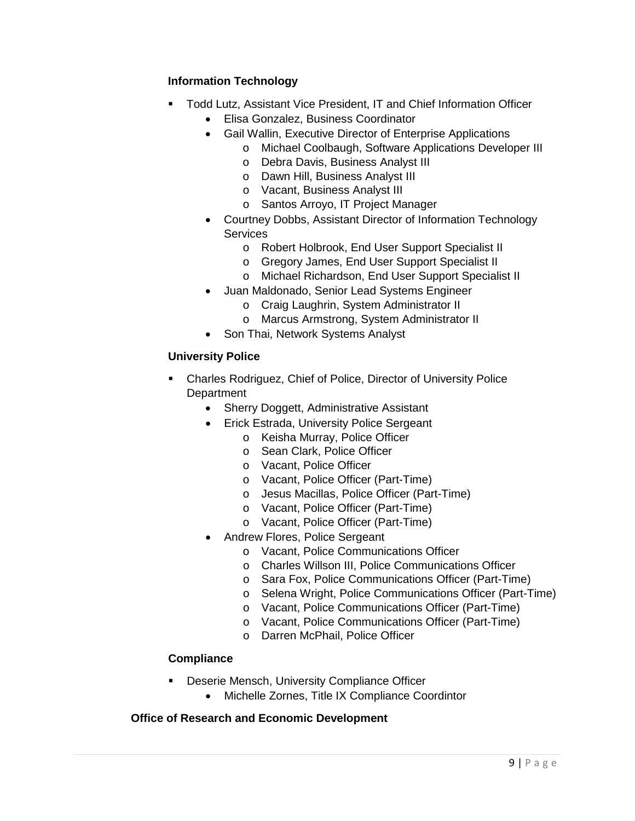### **Information Technology**

- Todd Lutz, Assistant Vice President, IT and Chief Information Officer
	- Elisa Gonzalez, Business Coordinator
	- Gail Wallin, Executive Director of Enterprise Applications
		- o Michael Coolbaugh, Software Applications Developer III
		- o Debra Davis, Business Analyst III
		- o Dawn Hill, Business Analyst III
		- o Vacant, Business Analyst III
		- o Santos Arroyo, IT Project Manager
	- Courtney Dobbs, Assistant Director of Information Technology **Services** 
		- o Robert Holbrook, End User Support Specialist II
		- o Gregory James, End User Support Specialist II
		- o Michael Richardson, End User Support Specialist II
	- Juan Maldonado, Senior Lead Systems Engineer
		- o Craig Laughrin, System Administrator II
		- o Marcus Armstrong, System Administrator II
	- Son Thai, Network Systems Analyst

### **University Police**

- Charles Rodriguez, Chief of Police, Director of University Police **Department** 
	- Sherry Doggett, Administrative Assistant
	- Erick Estrada, University Police Sergeant
		- o Keisha Murray, Police Officer
		- o Sean Clark, Police Officer
		- o Vacant, Police Officer
		- o Vacant, Police Officer (Part-Time)
		- o Jesus Macillas, Police Officer (Part-Time)
		- o Vacant, Police Officer (Part-Time)
		- o Vacant, Police Officer (Part-Time)
	- Andrew Flores, Police Sergeant
		- o Vacant, Police Communications Officer
		- o Charles Willson III, Police Communications Officer
		- o Sara Fox, Police Communications Officer (Part-Time)
		- o Selena Wright, Police Communications Officer (Part-Time)
		- o Vacant, Police Communications Officer (Part-Time)
		- o Vacant, Police Communications Officer (Part-Time)
		- o Darren McPhail, Police Officer

### **Compliance**

- **Deserie Mensch, University Compliance Officer** 
	- Michelle Zornes, Title IX Compliance Coordintor

### **Office of Research and Economic Development**